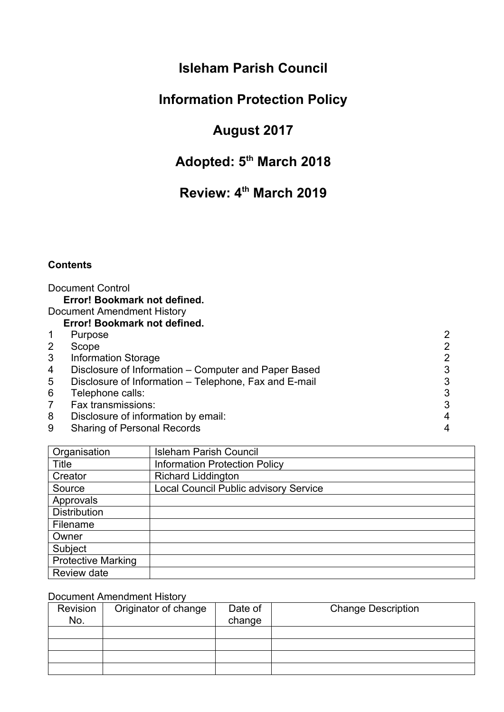### **Isleham Parish Council**

## **Information Protection Policy**

## **August 2017**

## **Adopted: 5th March 2018**

# <span id="page-0-1"></span><span id="page-0-0"></span>**Review: 4th March 2019**

#### **Contents**

|                 | <b>Document Control</b>                               |   |
|-----------------|-------------------------------------------------------|---|
|                 | Error! Bookmark not defined.                          |   |
|                 | Document Amendment History                            |   |
|                 | Error! Bookmark not defined.                          |   |
| $\mathbf 1$     | Purpose                                               |   |
| 2               | Scope                                                 |   |
| 3               | <b>Information Storage</b>                            |   |
| 4               | Disclosure of Information – Computer and Paper Based  |   |
| $5\overline{)}$ | Disclosure of Information – Telephone, Fax and E-mail |   |
| 6               | Telephone calls:                                      | ર |
| 7               | Fax transmissions:                                    |   |
| 8               | Disclosure of information by email:                   |   |
| 9               | <b>Sharing of Personal Records</b>                    |   |

| Organisation              | <b>Isleham Parish Council</b>                |
|---------------------------|----------------------------------------------|
| Title                     | <b>Information Protection Policy</b>         |
| Creator                   | <b>Richard Liddington</b>                    |
| Source                    | <b>Local Council Public advisory Service</b> |
| Approvals                 |                                              |
| <b>Distribution</b>       |                                              |
| Filename                  |                                              |
| Owner                     |                                              |
| Subject                   |                                              |
| <b>Protective Marking</b> |                                              |
| Review date               |                                              |

### Document Amendment History

| Revision<br>No. | Originator of change | Date of<br>change | <b>Change Description</b> |
|-----------------|----------------------|-------------------|---------------------------|
|                 |                      |                   |                           |
|                 |                      |                   |                           |
|                 |                      |                   |                           |
|                 |                      |                   |                           |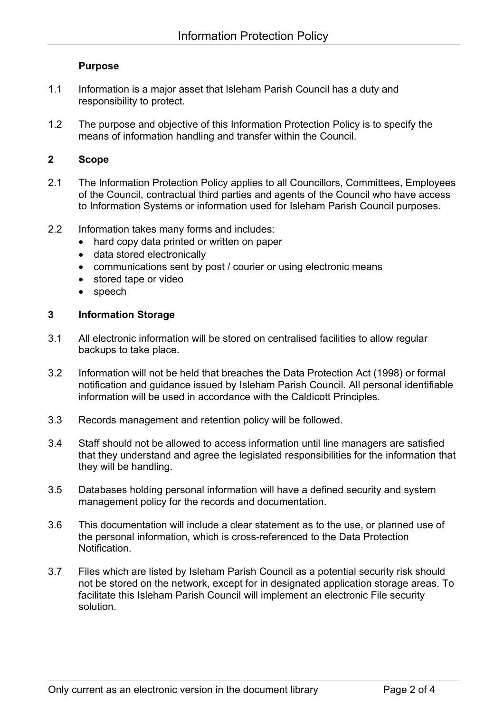#### **Purpose**

- <span id="page-1-3"></span>1.1 Information is a major asset that Isleham Parish Council has a duty and responsibility to protect.
- 1.2 The purpose and objective of this Information Protection Policy is to specify the means of information handling and transfer within the Council.

#### <span id="page-1-0"></span>**2 Scope**

- 2.1 The Information Protection Policy applies to all Councillors, Committees, Employees of the Council, contractual third parties and agents of the Council who have access to Information Systems or information used for Isleham Parish Council purposes.
- 2.2 Information takes many forms and includes:
	- hard copy data printed or written on paper
	- data stored electronically
	- communications sent by post / courier or using electronic means
	- stored tape or video
	- speech

#### <span id="page-1-2"></span>**3 Information Storage**

- 3.1 All electronic information will be stored on centralised facilities to allow regular backups to take place.
- 3.2 Information will not be held that breaches the Data Protection Act (1998) or formal notification and guidance issued by Isleham Parish Council. All personal identifiable information will be used in accordance with the Caldicott Principles.
- 3.3 Records management and retention policy will be followed.
- 3.4 Staff should not be allowed to access information until line managers are satisfied that they understand and agree the legislated responsibilities for the information that they will be handling.
- 3.5 Databases holding personal information will have a defined security and system management policy for the records and documentation.
- 3.6 This documentation will include a clear statement as to the use, or planned use of the personal information, which is cross-referenced to the Data Protection **Notification**
- <span id="page-1-1"></span>3.7 Files which are listed by Isleham Parish Council as a potential security risk should not be stored on the network, except for in designated application storage areas. To facilitate this Isleham Parish Council will implement an electronic File security solution.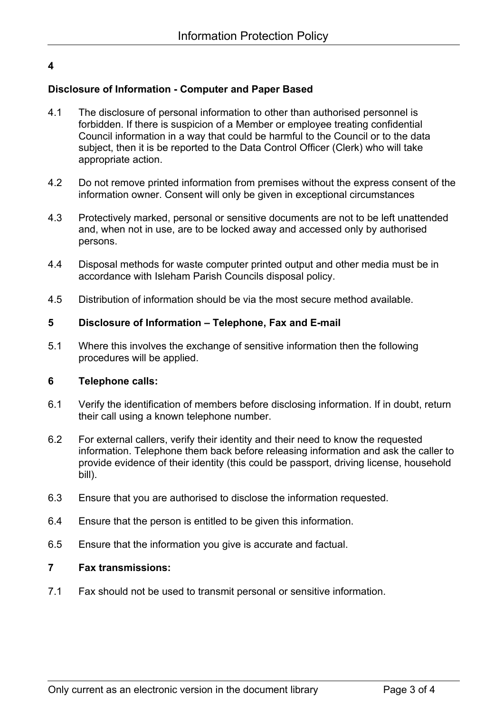### **4**

### **Disclosure of Information - Computer and Paper Based**

- 4.1 The disclosure of personal information to other than authorised personnel is forbidden. If there is suspicion of a Member or employee treating confidential Council information in a way that could be harmful to the Council or to the data subject, then it is be reported to the Data Control Officer (Clerk) who will take appropriate action.
- 4.2 Do not remove printed information from premises without the express consent of the information owner. Consent will only be given in exceptional circumstances
- 4.3 Protectively marked, personal or sensitive documents are not to be left unattended and, when not in use, are to be locked away and accessed only by authorised persons.
- 4.4 Disposal methods for waste computer printed output and other media must be in accordance with Isleham Parish Councils disposal policy.
- 4.5 Distribution of information should be via the most secure method available.

#### <span id="page-2-2"></span>**5 Disclosure of Information – Telephone, Fax and E-mail**

5.1 Where this involves the exchange of sensitive information then the following procedures will be applied.

#### <span id="page-2-1"></span>**6 Telephone calls:**

- 6.1 Verify the identification of members before disclosing information. If in doubt, return their call using a known telephone number.
- 6.2 For external callers, verify their identity and their need to know the requested information. Telephone them back before releasing information and ask the caller to provide evidence of their identity (this could be passport, driving license, household bill).
- 6.3 Ensure that you are authorised to disclose the information requested.
- 6.4 Ensure that the person is entitled to be given this information.
- 6.5 Ensure that the information you give is accurate and factual.

#### <span id="page-2-0"></span>**7 Fax transmissions:**

7.1 Fax should not be used to transmit personal or sensitive information.